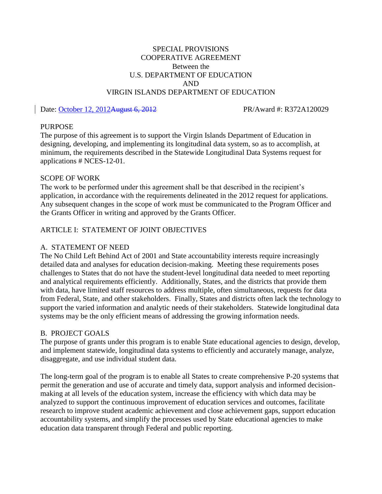## SPECIAL PROVISIONS COOPERATIVE AGREEMENT Between the U.S. DEPARTMENT OF EDUCATION AND VIRGIN ISLANDS DEPARTMENT OF EDUCATION

### Date: October 12, 2012August 6, 2012 PR/Award #: R372A120029

### PURPOSE

The purpose of this agreement is to support the Virgin Islands Department of Education in designing, developing, and implementing its longitudinal data system, so as to accomplish, at minimum, the requirements described in the Statewide Longitudinal Data Systems request for applications # NCES-12-01.

### SCOPE OF WORK

The work to be performed under this agreement shall be that described in the recipient's application, in accordance with the requirements delineated in the 2012 request for applications. Any subsequent changes in the scope of work must be communicated to the Program Officer and the Grants Officer in writing and approved by the Grants Officer.

## ARTICLE I: STATEMENT OF JOINT OBJECTIVES

#### A. STATEMENT OF NEED

The No Child Left Behind Act of 2001 and State accountability interests require increasingly detailed data and analyses for education decision-making. Meeting these requirements poses challenges to States that do not have the student-level longitudinal data needed to meet reporting and analytical requirements efficiently. Additionally, States, and the districts that provide them with data, have limited staff resources to address multiple, often simultaneous, requests for data from Federal, State, and other stakeholders. Finally, States and districts often lack the technology to support the varied information and analytic needs of their stakeholders. Statewide longitudinal data systems may be the only efficient means of addressing the growing information needs.

#### B. PROJECT GOALS

The purpose of grants under this program is to enable State educational agencies to design, develop, and implement statewide, longitudinal data systems to efficiently and accurately manage, analyze, disaggregate, and use individual student data.

The long-term goal of the program is to enable all States to create comprehensive P-20 systems that permit the generation and use of accurate and timely data, support analysis and informed decisionmaking at all levels of the education system, increase the efficiency with which data may be analyzed to support the continuous improvement of education services and outcomes, facilitate research to improve student academic achievement and close achievement gaps, support education accountability systems, and simplify the processes used by State educational agencies to make education data transparent through Federal and public reporting.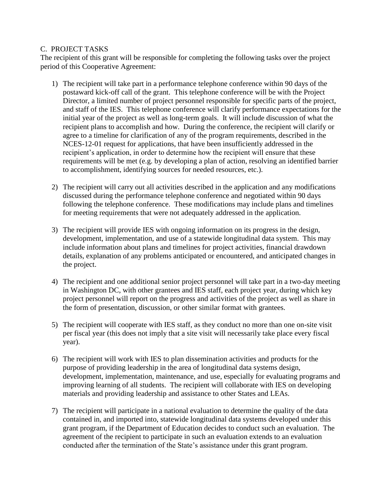## C. PROJECT TASKS

The recipient of this grant will be responsible for completing the following tasks over the project period of this Cooperative Agreement:

- 1) The recipient will take part in a performance telephone conference within 90 days of the postaward kick-off call of the grant. This telephone conference will be with the Project Director, a limited number of project personnel responsible for specific parts of the project, and staff of the IES. This telephone conference will clarify performance expectations for the initial year of the project as well as long-term goals. It will include discussion of what the recipient plans to accomplish and how. During the conference, the recipient will clarify or agree to a timeline for clarification of any of the program requirements, described in the NCES-12-01 request for applications, that have been insufficiently addressed in the recipient's application, in order to determine how the recipient will ensure that these requirements will be met (e.g. by developing a plan of action, resolving an identified barrier to accomplishment, identifying sources for needed resources, etc.).
- 2) The recipient will carry out all activities described in the application and any modifications discussed during the performance telephone conference and negotiated within 90 days following the telephone conference. These modifications may include plans and timelines for meeting requirements that were not adequately addressed in the application.
- 3) The recipient will provide IES with ongoing information on its progress in the design, development, implementation, and use of a statewide longitudinal data system. This may include information about plans and timelines for project activities, financial drawdown details, explanation of any problems anticipated or encountered, and anticipated changes in the project.
- 4) The recipient and one additional senior project personnel will take part in a two-day meeting in Washington DC, with other grantees and IES staff, each project year, during which key project personnel will report on the progress and activities of the project as well as share in the form of presentation, discussion, or other similar format with grantees.
- 5) The recipient will cooperate with IES staff, as they conduct no more than one on-site visit per fiscal year (this does not imply that a site visit will necessarily take place every fiscal year).
- 6) The recipient will work with IES to plan dissemination activities and products for the purpose of providing leadership in the area of longitudinal data systems design, development, implementation, maintenance, and use, especially for evaluating programs and improving learning of all students. The recipient will collaborate with IES on developing materials and providing leadership and assistance to other States and LEAs.
- 7) The recipient will participate in a national evaluation to determine the quality of the data contained in, and imported into, statewide longitudinal data systems developed under this grant program, if the Department of Education decides to conduct such an evaluation. The agreement of the recipient to participate in such an evaluation extends to an evaluation conducted after the termination of the State's assistance under this grant program.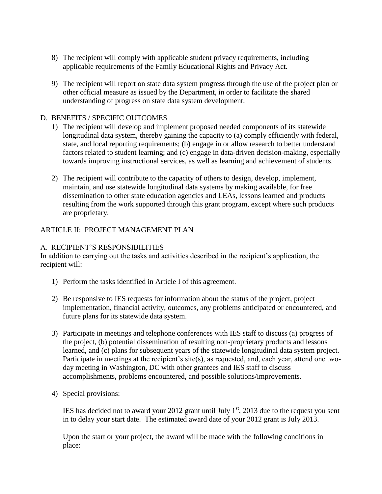- 8) The recipient will comply with applicable student privacy requirements, including applicable requirements of the Family Educational Rights and Privacy Act.
- 9) The recipient will report on state data system progress through the use of the project plan or other official measure as issued by the Department, in order to facilitate the shared understanding of progress on state data system development.

## D. BENEFITS / SPECIFIC OUTCOMES

- 1) The recipient will develop and implement proposed needed components of its statewide longitudinal data system, thereby gaining the capacity to (a) comply efficiently with federal, state, and local reporting requirements; (b) engage in or allow research to better understand factors related to student learning; and (c) engage in data-driven decision-making, especially towards improving instructional services, as well as learning and achievement of students.
- 2) The recipient will contribute to the capacity of others to design, develop, implement, maintain, and use statewide longitudinal data systems by making available, for free dissemination to other state education agencies and LEAs, lessons learned and products resulting from the work supported through this grant program, except where such products are proprietary.

## ARTICLE II: PROJECT MANAGEMENT PLAN

## A. RECIPIENT'S RESPONSIBILITIES

In addition to carrying out the tasks and activities described in the recipient's application, the recipient will:

- 1) Perform the tasks identified in Article I of this agreement.
- 2) Be responsive to IES requests for information about the status of the project, project implementation, financial activity, outcomes, any problems anticipated or encountered, and future plans for its statewide data system.
- 3) Participate in meetings and telephone conferences with IES staff to discuss (a) progress of the project, (b) potential dissemination of resulting non-proprietary products and lessons learned, and (c) plans for subsequent years of the statewide longitudinal data system project. Participate in meetings at the recipient's site(s), as requested, and, each year, attend one twoday meeting in Washington, DC with other grantees and IES staff to discuss accomplishments, problems encountered, and possible solutions/improvements.
- 4) Special provisions:

IES has decided not to award your 2012 grant until July  $1<sup>st</sup>$ , 2013 due to the request you sent in to delay your start date. The estimated award date of your 2012 grant is July 2013.

Upon the start or your project, the award will be made with the following conditions in place: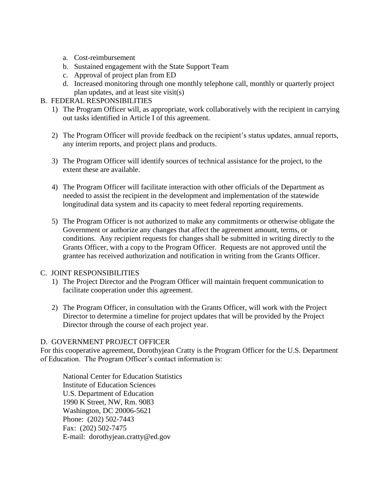- a. Cost-reimbursement
- b. Sustained engagement with the State Support Team
- c. Approval of project plan from ED
- d. Increased monitoring through one monthly telephone call, monthly or quarterly project plan updates, and at least site visit(s)

# B. FEDERAL RESPONSIBILITIES

- 1) The Program Officer will, as appropriate, work collaboratively with the recipient in carrying out tasks identified in Article I of this agreement.
- 2) The Program Officer will provide feedback on the recipient's status updates, annual reports, any interim reports, and project plans and products.
- 3) The Program Officer will identify sources of technical assistance for the project, to the extent these are available.
- 4) The Program Officer will facilitate interaction with other officials of the Department as needed to assist the recipient in the development and implementation of the statewide longitudinal data system and its capacity to meet federal reporting requirements.
- 5) The Program Officer is not authorized to make any commitments or otherwise obligate the Government or authorize any changes that affect the agreement amount, terms, or conditions. Any recipient requests for changes shall be submitted in writing directly to the Grants Officer, with a copy to the Program Officer. Requests are not approved until the grantee has received authorization and notification in writing from the Grants Officer.

## C. JOINT RESPONSIBILITIES

- 1) The Project Director and the Program Officer will maintain frequent communication to facilitate cooperation under this agreement.
- 2) The Program Officer, in consultation with the Grants Officer, will work with the Project Director to determine a timeline for project updates that will be provided by the Project Director through the course of each project year.

## D. GOVERNMENT PROJECT OFFICER

For this cooperative agreement, Dorothyjean Cratty is the Program Officer for the U.S. Department of Education. The Program Officer's contact information is:

National Center for Education Statistics Institute of Education Sciences U.S. Department of Education 1990 K Street, NW, Rm. 9083 Washington, DC 20006-5621 Phone: (202) 502-7443 Fax: (202) 502-7475 E-mail: dorothyjean.cratty@ed.gov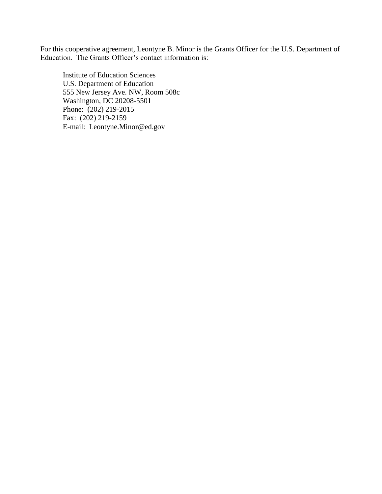For this cooperative agreement, Leontyne B. Minor is the Grants Officer for the U.S. Department of Education. The Grants Officer's contact information is:

Institute of Education Sciences U.S. Department of Education 555 New Jersey Ave. NW, Room 508c Washington, DC 20208-5501 Phone: (202) 219-2015 Fax: (202) 219-2159 E-mail: Leontyne.Minor@ed.gov